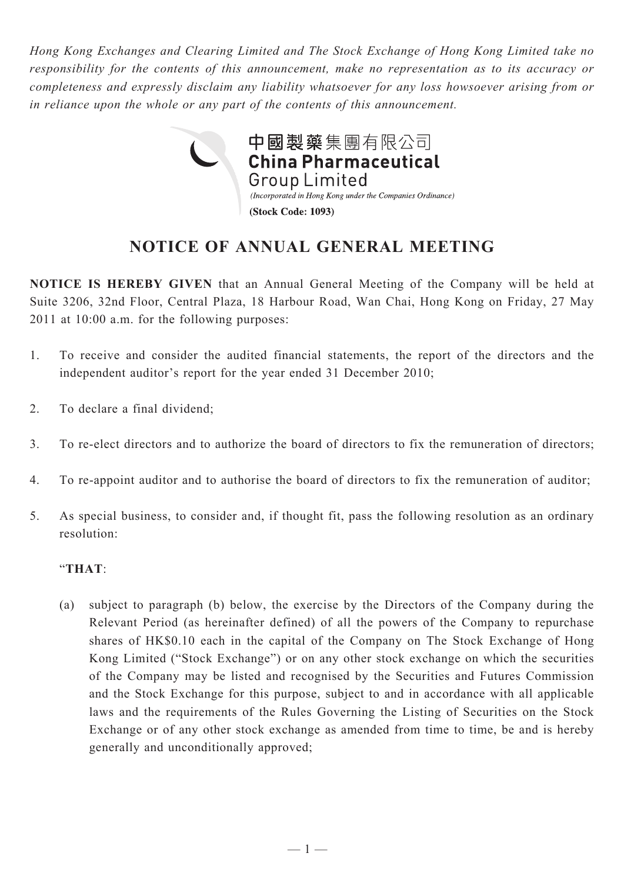*Hong Kong Exchanges and Clearing Limited and The Stock Exchange of Hong Kong Limited take no responsibility for the contents of this announcement, make no representation as to its accuracy or completeness and expressly disclaim any liability whatsoever for any loss howsoever arising from or in reliance upon the whole or any part of the contents of this announcement.*



## **NOTICE OF ANNUAL GENERAL MEETING**

**NOTICE IS HEREBY GIVEN** that an Annual General Meeting of the Company will be held at Suite 3206, 32nd Floor, Central Plaza, 18 Harbour Road, Wan Chai, Hong Kong on Friday, 27 May 2011 at 10:00 a.m. for the following purposes:

- 1. To receive and consider the audited financial statements, the report of the directors and the independent auditor's report for the year ended 31 December 2010;
- 2. To declare a final dividend;
- 3. To re-elect directors and to authorize the board of directors to fix the remuneration of directors;
- 4. To re-appoint auditor and to authorise the board of directors to fix the remuneration of auditor;
- 5. As special business, to consider and, if thought fit, pass the following resolution as an ordinary resolution:

## "**THAT**:

(a) subject to paragraph (b) below, the exercise by the Directors of the Company during the Relevant Period (as hereinafter defined) of all the powers of the Company to repurchase shares of HK\$0.10 each in the capital of the Company on The Stock Exchange of Hong Kong Limited ("Stock Exchange") or on any other stock exchange on which the securities of the Company may be listed and recognised by the Securities and Futures Commission and the Stock Exchange for this purpose, subject to and in accordance with all applicable laws and the requirements of the Rules Governing the Listing of Securities on the Stock Exchange or of any other stock exchange as amended from time to time, be and is hereby generally and unconditionally approved;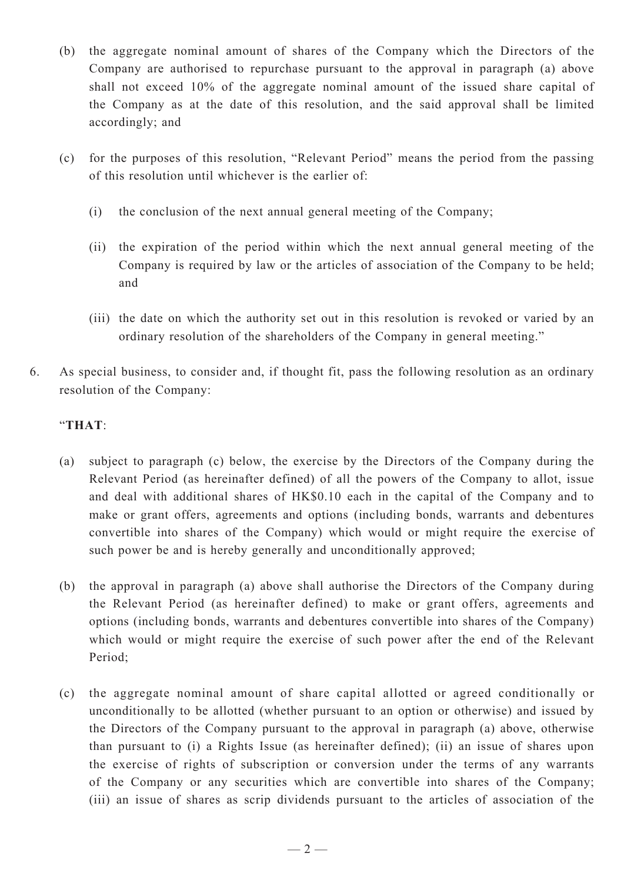- (b) the aggregate nominal amount of shares of the Company which the Directors of the Company are authorised to repurchase pursuant to the approval in paragraph (a) above shall not exceed 10% of the aggregate nominal amount of the issued share capital of the Company as at the date of this resolution, and the said approval shall be limited accordingly; and
- (c) for the purposes of this resolution, "Relevant Period" means the period from the passing of this resolution until whichever is the earlier of:
	- (i) the conclusion of the next annual general meeting of the Company;
	- (ii) the expiration of the period within which the next annual general meeting of the Company is required by law or the articles of association of the Company to be held; and
	- (iii) the date on which the authority set out in this resolution is revoked or varied by an ordinary resolution of the shareholders of the Company in general meeting."
- 6. As special business, to consider and, if thought fit, pass the following resolution as an ordinary resolution of the Company:

## "**THAT**:

- (a) subject to paragraph (c) below, the exercise by the Directors of the Company during the Relevant Period (as hereinafter defined) of all the powers of the Company to allot, issue and deal with additional shares of HK\$0.10 each in the capital of the Company and to make or grant offers, agreements and options (including bonds, warrants and debentures convertible into shares of the Company) which would or might require the exercise of such power be and is hereby generally and unconditionally approved;
- (b) the approval in paragraph (a) above shall authorise the Directors of the Company during the Relevant Period (as hereinafter defined) to make or grant offers, agreements and options (including bonds, warrants and debentures convertible into shares of the Company) which would or might require the exercise of such power after the end of the Relevant Period;
- (c) the aggregate nominal amount of share capital allotted or agreed conditionally or unconditionally to be allotted (whether pursuant to an option or otherwise) and issued by the Directors of the Company pursuant to the approval in paragraph (a) above, otherwise than pursuant to (i) a Rights Issue (as hereinafter defined); (ii) an issue of shares upon the exercise of rights of subscription or conversion under the terms of any warrants of the Company or any securities which are convertible into shares of the Company; (iii) an issue of shares as scrip dividends pursuant to the articles of association of the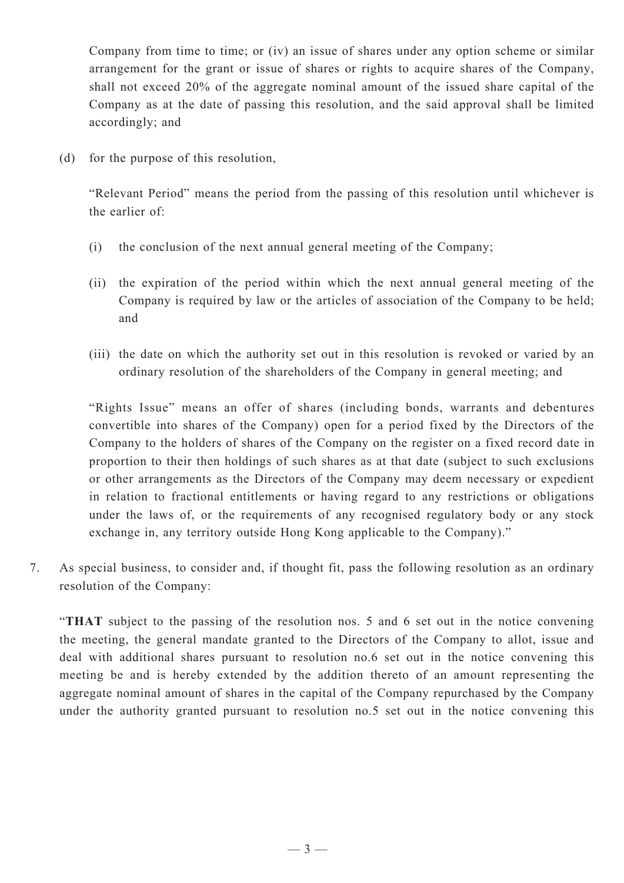Company from time to time; or (iv) an issue of shares under any option scheme or similar arrangement for the grant or issue of shares or rights to acquire shares of the Company, shall not exceed 20% of the aggregate nominal amount of the issued share capital of the Company as at the date of passing this resolution, and the said approval shall be limited accordingly; and

(d) for the purpose of this resolution,

"Relevant Period" means the period from the passing of this resolution until whichever is the earlier of:

- (i) the conclusion of the next annual general meeting of the Company;
- (ii) the expiration of the period within which the next annual general meeting of the Company is required by law or the articles of association of the Company to be held; and
- (iii) the date on which the authority set out in this resolution is revoked or varied by an ordinary resolution of the shareholders of the Company in general meeting; and

"Rights Issue" means an offer of shares (including bonds, warrants and debentures convertible into shares of the Company) open for a period fixed by the Directors of the Company to the holders of shares of the Company on the register on a fixed record date in proportion to their then holdings of such shares as at that date (subject to such exclusions or other arrangements as the Directors of the Company may deem necessary or expedient in relation to fractional entitlements or having regard to any restrictions or obligations under the laws of, or the requirements of any recognised regulatory body or any stock exchange in, any territory outside Hong Kong applicable to the Company)."

7. As special business, to consider and, if thought fit, pass the following resolution as an ordinary resolution of the Company:

"**THAT** subject to the passing of the resolution nos. 5 and 6 set out in the notice convening the meeting, the general mandate granted to the Directors of the Company to allot, issue and deal with additional shares pursuant to resolution no.6 set out in the notice convening this meeting be and is hereby extended by the addition thereto of an amount representing the aggregate nominal amount of shares in the capital of the Company repurchased by the Company under the authority granted pursuant to resolution no.5 set out in the notice convening this